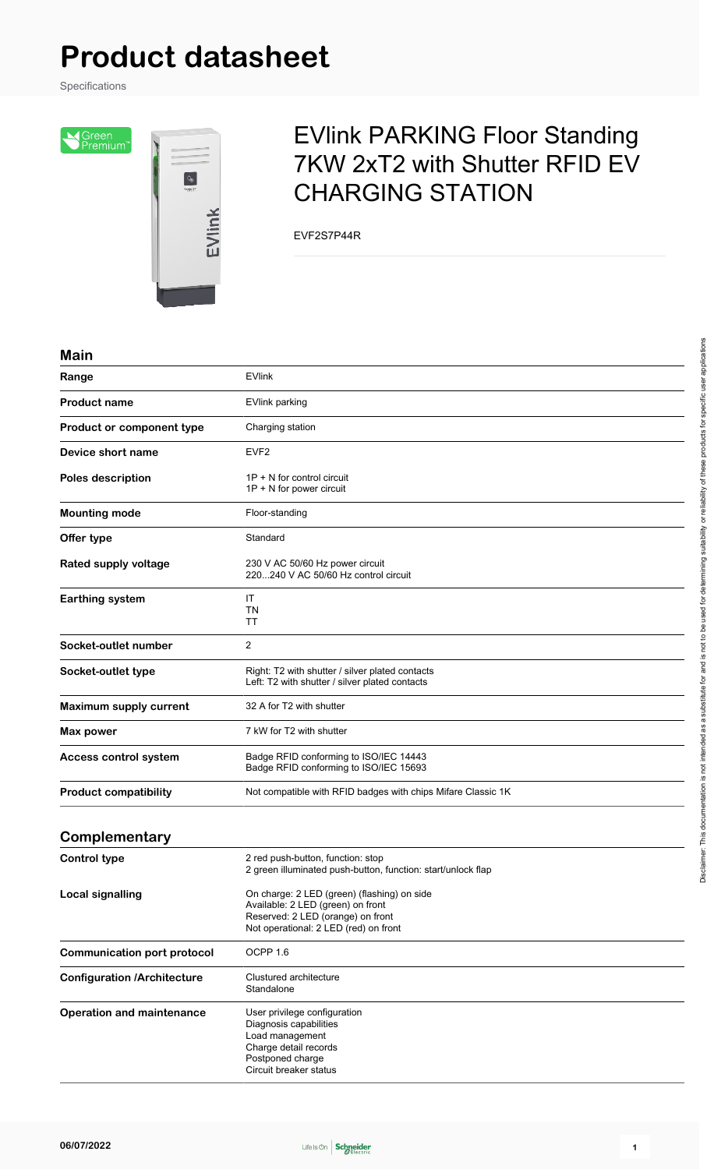# **Product datasheet**

Specifications

Siceen<br>Premium<sup>r</sup>



## EVlink PARKING Floor Standing 7KW 2xT2 with Shutter RFID EV CHARGING STATION

EVF2S7P44R

#### **Main**

| Range                              | <b>EVlink</b>                                                                                                                                                  |
|------------------------------------|----------------------------------------------------------------------------------------------------------------------------------------------------------------|
| <b>Product name</b>                | <b>EVlink parking</b>                                                                                                                                          |
| <b>Product or component type</b>   | Charging station                                                                                                                                               |
| Device short name                  | EVF <sub>2</sub>                                                                                                                                               |
| <b>Poles description</b>           | $1P + N$ for control circuit<br>1P + N for power circuit                                                                                                       |
| <b>Mounting mode</b>               | Floor-standing                                                                                                                                                 |
| Offer type                         | Standard                                                                                                                                                       |
| Rated supply voltage               | 230 V AC 50/60 Hz power circuit<br>220240 V AC 50/60 Hz control circuit                                                                                        |
| <b>Earthing system</b>             | IT<br><b>TN</b><br>TT                                                                                                                                          |
| Socket-outlet number               | 2                                                                                                                                                              |
| Socket-outlet type                 | Right: T2 with shutter / silver plated contacts<br>Left: T2 with shutter / silver plated contacts                                                              |
| Maximum supply current             | 32 A for T2 with shutter                                                                                                                                       |
| Max power                          | 7 kW for T2 with shutter                                                                                                                                       |
| Access control system              | Badge RFID conforming to ISO/IEC 14443<br>Badge RFID conforming to ISO/IEC 15693                                                                               |
| <b>Product compatibility</b>       | Not compatible with RFID badges with chips Mifare Classic 1K                                                                                                   |
| Complementary                      |                                                                                                                                                                |
| <b>Control type</b>                | 2 red push-button, function: stop<br>2 green illuminated push-button, function: start/unlock flap                                                              |
| <b>Local signalling</b>            | On charge: 2 LED (green) (flashing) on side<br>Available: 2 LED (green) on front<br>Reserved: 2 LED (orange) on front<br>Not operational: 2 LED (red) on front |
| <b>Communication port protocol</b> | OCPP 1.6                                                                                                                                                       |
| Configuration /Architecture        | Clustured architecture                                                                                                                                         |